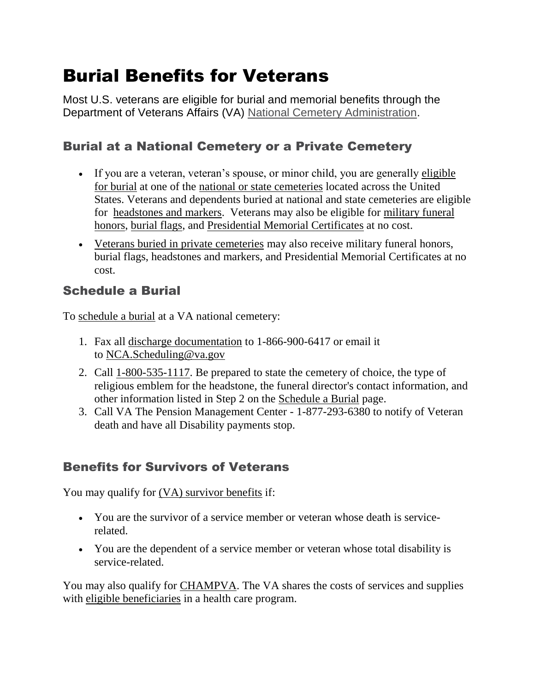# Burial Benefits for Veterans

Most U.S. veterans are eligible for burial and memorial benefits through the Department of Veterans Affairs (VA) [National Cemetery Administration.](https://www.cem.va.gov/)

#### Burial at a National Cemetery or a Private Cemetery

- If you are a veteran, veteran's spouse, or minor child, you are generally [eligible](https://www.cem.va.gov/burial_benefits/eligible.asp)  [for burial](https://www.cem.va.gov/burial_benefits/eligible.asp) at one of the national or [state cemeteries](https://www.cem.va.gov/cems/listcem.asp) located across the United States. Veterans and dependents buried at national and state cemeteries are eligible for [headstones and markers.](https://www.cem.va.gov/cem/hmm/index.asp) Veterans may also be eligible for [military funeral](https://www.cem.va.gov/military_funeral_honors.asp)  [honors,](https://www.cem.va.gov/military_funeral_honors.asp) [burial flags,](https://www.cem.va.gov/cem/burial_benefits/burial_flags.asp) and [Presidential Memorial Certificates](https://www.cem.va.gov/cem/pmc.asp) at no cost.
- [Veterans buried in private cemeteries](https://www.cem.va.gov/cem/burial_benefits/private_cemetery.asp) may also receive military funeral honors, burial flags, headstones and markers, and Presidential Memorial Certificates at no cost.

#### Schedule a Burial

To [schedule a burial](https://www.cem.va.gov/cem/burial_benefits/need.asp) at a VA national cemetery:

- 1. Fax all [discharge documentation](https://www.cem.va.gov/CEM/hmm/discharge_documents.asp) to 1-866-900-6417 or email it to [NCA.Scheduling@va.gov](mailto:NCA.Scheduling@va.gov)
- 2. Call [1-800-535-1117.](tel:18005351117) Be prepared to state the cemetery of choice, the type of religious emblem for the headstone, the funeral director's contact information, and other information listed in Step 2 on the [Schedule a Burial](https://www.cem.va.gov/burial_benefits/need.asp) page.
- 3. Call VA The Pension Management Center 1-877-293-6380 to notify of Veteran death and have all Disability payments stop.

### Benefits for Survivors of Veterans

You may qualify for [\(VA\) survivor benefits](https://www.va.gov/opa/persona/dependent_survivor.asp) if:

- You are the survivor of a service member or veteran whose death is servicerelated.
- You are the dependent of a service member or veteran whose total disability is service-related.

You may also qualify for [CHAMPVA.](https://www.va.gov/COMMUNITYCARE/programs/dependents/champva/index.asp) The VA shares the costs of services and supplies with [eligible beneficiaries](https://www.va.gov/COMMUNITYCARE/programs/dependents/champva/champva_eligibility.asp) in a health care program.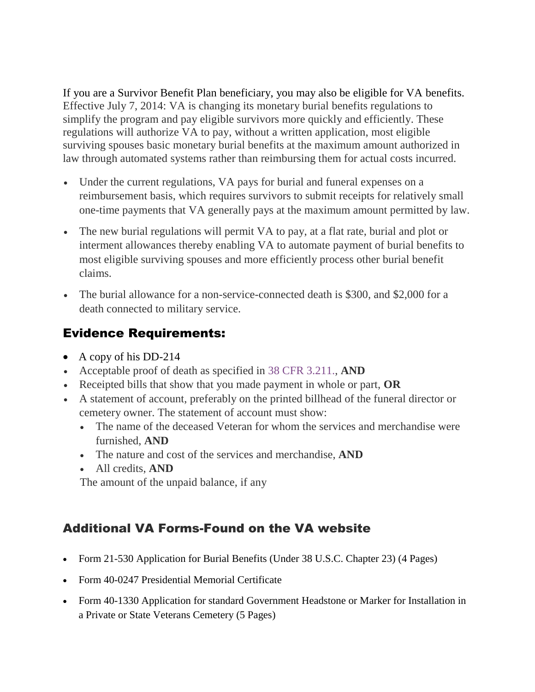If you are a Survivor Benefit Plan beneficiary, you may also be eligible for VA benefits. Effective July 7, 2014: VA is changing its monetary burial benefits regulations to simplify the program and pay eligible survivors more quickly and efficiently. These regulations will authorize VA to pay, without a written application, most eligible surviving spouses basic monetary burial benefits at the maximum amount authorized in law through automated systems rather than reimbursing them for actual costs incurred.

- Under the current regulations, VA pays for burial and funeral expenses on a reimbursement basis, which requires survivors to submit receipts for relatively small one-time payments that VA generally pays at the maximum amount permitted by law.
- The new burial regulations will permit VA to pay, at a flat rate, burial and plot or interment allowances thereby enabling VA to automate payment of burial benefits to most eligible surviving spouses and more efficiently process other burial benefit claims.
- The burial allowance for a non-service-connected death is \$300, and \$2,000 for a death connected to military service.

## Evidence Requirements:

- A copy of his DD-214
- Acceptable proof of death as specified in 38 CFR [3.211.,](http://www.warms.vba.va.gov/regs/38CFR/BOOKB/PART3/S3_211.DOC) **AND**
- Receipted bills that show that you made payment in whole or part, **OR**
- A statement of account, preferably on the printed billhead of the funeral director or cemetery owner. The statement of account must show:
	- The name of the deceased Veteran for whom the services and merchandise were furnished, **AND**
	- The nature and cost of the services and merchandise, **AND**
	- All credits, **AND**

The amount of the unpaid balance, if any

### Additional VA Forms-Found on the VA website

- Form 21-530 Application for Burial Benefits (Under 38 U.S.C. Chapter 23) (4 Pages)
- Form 40-0247 Presidential Memorial Certificate
- Form 40-1330 Application for standard Government Headstone or Marker for Installation in a Private or State Veterans Cemetery (5 Pages)